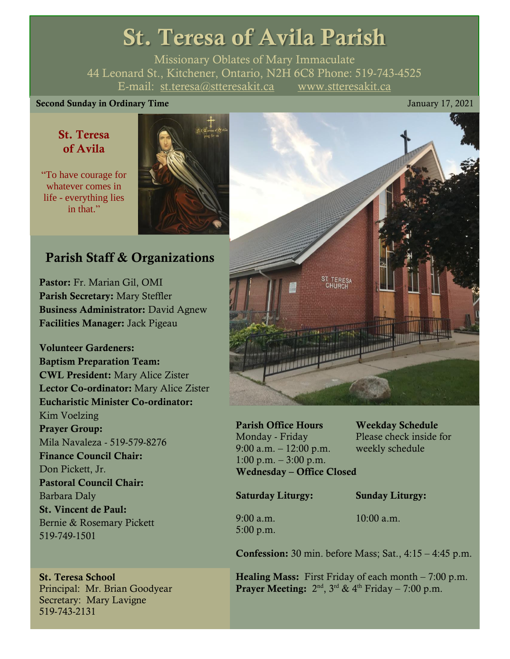# St. Teresa of Avila Parish

Missionary Oblates of Mary Immaculate 44 Leonard St., Kitchener, Ontario, N2H 6C8 Phone: 519-743-4525 E-mail: [st.teresa@stteresakit.ca](mailto:st.teresa@stteresakit.ca) [www.stteresakit.ca](http://www.stteresakit.ca/)

#### Second Sunday in Ordinary Time January 17, 2021

### St. Teresa of Avila

"To have courage for whatever comes in life - everything lies in that."



# Parish Staff & Organizations

Pastor: Fr. Marian Gil, OMI Parish Secretary: Mary Steffler Business Administrator: David Agnew Facilities Manager: Jack Pigeau

Volunteer Gardeners: Baptism Preparation Team: CWL President: Mary Alice Zister Lector Co-ordinator: Mary Alice Zister Eucharistic Minister Co-ordinator: Kim Voelzing Prayer Group: Mila Navaleza - 519-579-8276 Finance Council Chair: Don Pickett, Jr. Pastoral Council Chair: Barbara Daly St. Vincent de Paul: Bernie & Rosemary Pickett 519-749-1501

#### St. Teresa School Principal: Mr. Brian Goodyear Secretary: Mary Lavigne 519-743-2131



Parish Office Hours Weekday Schedule Monday - Friday Please check inside for 9:00 a.m. – 12:00 p.m. weekly schedule 1:00 p.m.  $-3:00$  p.m. Wednesday – Office Closed

Saturday Liturgy: Sunday Liturgy:

5:00 p.m.

9:00 a.m. 10:00 a.m.

**Confession:** 30 min. before Mass; Sat.,  $4:15 - 4:45$  p.m.

**Healing Mass:** First Friday of each month  $-7:00$  p.m. **Prayer Meeting:**  $2<sup>nd</sup>$ ,  $3<sup>rd</sup>$  &  $4<sup>th</sup>$  Friday – 7:00 p.m.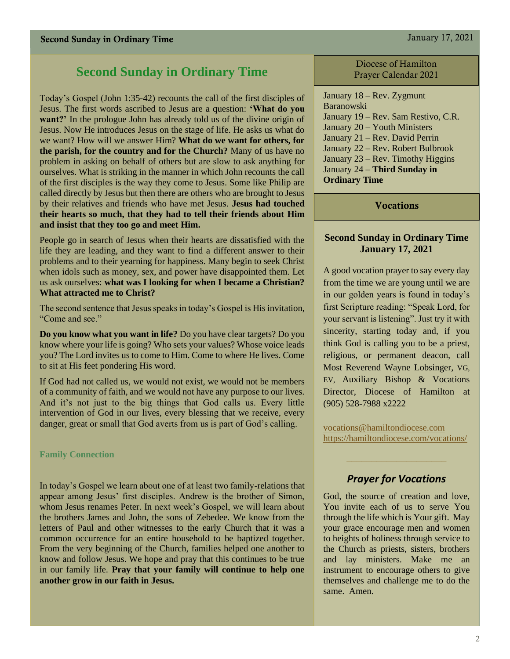# **Second Sunday in Ordinary Time**

Today's Gospel (John 1:35-42) recounts the call of the first disciples of Jesus. The first words ascribed to Jesus are a question: **'What do you want?'** In the prologue John has already told us of the divine origin of Jesus. Now He introduces Jesus on the stage of life. He asks us what do we want? How will we answer Him? **What do we want for others, for the parish, for the country and for the Church?** Many of us have no problem in asking on behalf of others but are slow to ask anything for ourselves. What is striking in the manner in which John recounts the call of the first disciples is the way they come to Jesus. Some like Philip are called directly by Jesus but then there are others who are brought to Jesus by their relatives and friends who have met Jesus. **Jesus had touched their hearts so much, that they had to tell their friends about Him and insist that they too go and meet Him.**

People go in search of Jesus when their hearts are dissatisfied with the life they are leading, and they want to find a different answer to their problems and to their yearning for happiness. Many begin to seek Christ when idols such as money, sex, and power have disappointed them. Let us ask ourselves: **what was I looking for when I became a Christian? What attracted me to Christ?**

The second sentence that Jesus speaks in today's Gospel is His invitation, "Come and see."

**Do you know what you want in life?** Do you have clear targets? Do you know where your life is going? Who sets your values? Whose voice leads you? The Lord invites us to come to Him. Come to where He lives. Come to sit at His feet pondering His word.

If God had not called us, we would not exist, we would not be members of a community of faith, and we would not have any purpose to our lives. And it's not just to the big things that God calls us. Every little intervention of God in our lives, every blessing that we receive, every danger, great or small that God averts from us is part of God's calling.

#### **Family Connection**

In today's Gospel we learn about one of at least two family-relations that appear among Jesus' first disciples. Andrew is the brother of Simon, whom Jesus renames Peter. In next week's Gospel, we will learn about the brothers James and John, the sons of Zebedee. We know from the letters of Paul and other witnesses to the early Church that it was a common occurrence for an entire household to be baptized together. From the very beginning of the Church, families helped one another to know and follow Jesus. We hope and pray that this continues to be true in our family life. **Pray that your family will continue to help one another grow in our faith in Jesus.**

Diocese of Hamilton Prayer Calendar 2021

January 18 – Rev. Zygmunt Baranowski January 19 – Rev. Sam Restivo, C.R. January 20 – Youth Ministers January 21 – Rev. David Perrin January 22 – Rev. Robert Bulbrook January 23 – Rev. Timothy Higgins January 24 – **Third Sunday in Ordinary Time**

Vocations

#### **Second Sunday in Ordinary Time January 17, 2021**

A good vocation prayer to say every day from the time we are young until we are in our golden years is found in today's first Scripture reading: "Speak Lord, for your servant is listening". Just try it with sincerity, starting today and, if you think God is calling you to be a priest, religious, or permanent deacon, call Most Reverend Wayne Lobsinger, VG, EV, Auxiliary Bishop & Vocations Director, Diocese of Hamilton at (905) 528-7988 x2222

[vocations@hamiltondiocese.com](mailto:vocations@hamiltondiocese.com)  <https://hamiltondiocese.com/vocations/>

### *Prayer for Vocations*

God, the source of creation and love, You invite each of us to serve You through the life which is Your gift. May your grace encourage men and women to heights of holiness through service to the Church as priests, sisters, brothers and lay ministers. Make me an instrument to encourage others to give themselves and challenge me to do the same. Amen.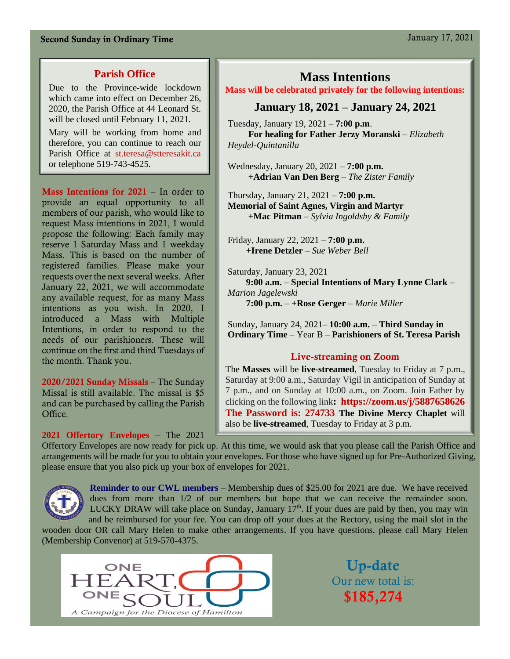#### **Parish Office**

Due to the Province-wide lockdown which came into effect on December 26. 2020, the Parish Office at 44 Leonard St. will be closed until February 11, 2021.

Mary will be working from home and therefore, you can continue to reach our Parish Office at [st.teresa@stteresakit.ca](mailto:st.teresa@stteresakit.ca) or telephone 519-743-4525.

Mass Intentions for 2021 – In order to provide an equal opportunity to all members of our parish, who would like to request Mass intentions in 2021, I would propose the following: Each family may reserve 1 Saturday Mass and 1 weekday Mass. This is based on the number of registered families. Please make your requests over the next several weeks. After January 22, 2021, we will accommodate any available request, for as many Mass intentions as you wish. In 2020, I introduced a Mass with Multiple Intentions, in order to respond to the needs of our parishioners. These will continue on the first and third Tuesdays of the month. Thank you.

2020/2021 Sunday Missals – The Sunday Missal is still available. The missal is \$5 and can be purchased by calling the Parish Office.

#### **2021 Offertory Envelopes** – The 2021

#### **Mass Intentions**

#### **Mass will be celebrated privately for the following intentions:**

#### **January 18, 2021 – January 24, 2021**

Tuesday, January 19, 2021 – **7:00 p.m**.  **For healing for Father Jerzy Moranski** *– Elizabeth Heydel-Quintanilla*

Wednesday, January 20, 2021 – **7:00 p.m. +Adrian Van Den Berg** – *The Zister Family*

Thursday, January 21, 2021 – **7:00 p.m. Memorial of Saint Agnes, Virgin and Martyr +Mac Pitman** – *Sylvia Ingoldsby & Family*

Friday, January 22, 2021 – **7:00 p.m. +Irene Detzler** – *Sue Weber Bell*

Saturday, January 23, 2021  **9:00 a.m.** – **Special Intentions of Mary Lynne Clark** – *Marion Jagelewski* **7:00 p.m.** – **+Rose Gerger** – *Marie Miller*

Sunday, January 24, 2021– **10:00 a.m.** – **Third Sunday in Ordinary Time** – Year B – **Parishioners of St. Teresa Parish**

#### Live-streaming on Zoom

The **Masses** will be **live-streamed**, Tuesday to Friday at 7 p.m., Saturday at 9:00 a.m., Saturday Vigil in anticipation of Sunday at 7 p.m., and on Sunday at 10:00 a.m., on Zoom. Join Father by clicking on the following link**:<https://zoom.us/j/5887658626> The Password is: 274733 The Divine Mercy Chaplet** will also be **live-streamed**, Tuesday to Friday at 3 p.m.

Offertory Envelopes are now ready for pick up. At this time, we would ask that you please call the Parish Office and arrangements will be made for you to obtain your envelopes. For those who have signed up for Pre-Authorized Giving, please ensure that you also pick up your box of envelopes for 2021.



**Reminder to our CWL members** – Membership dues of \$25.00 for 2021 are due. We have received dues from more than  $1/2$  of our members but hope that we can receive the remainder soon. LUCKY DRAW will take place on Sunday, January  $17<sup>th</sup>$ . If your dues are paid by then, you may win and be reimbursed for your fee. You can drop off your dues at the Rectory, using the mail slot in the

wooden door OR call Mary Helen to make other arrangements. If you have questions, please call Mary Helen (Membership Convenor) at 519-570-4375.



Up-date Our new total is: \$185,274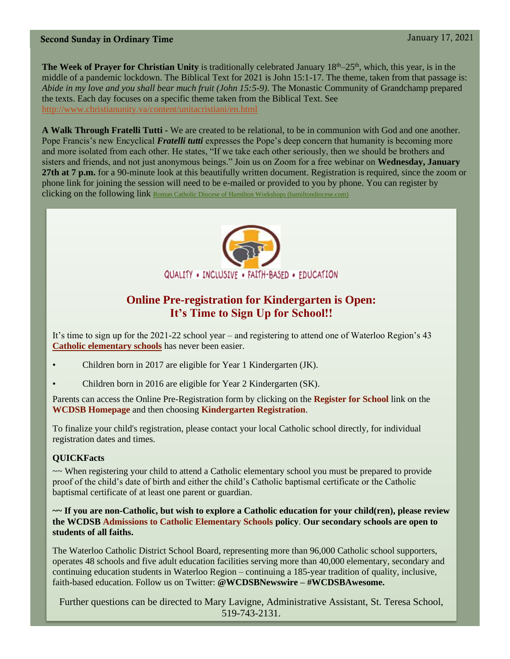**The Week of Prayer for Christian Unity** is traditionally celebrated January 18th–25th, which, this year, is in the middle of a pandemic lockdown. The Biblical Text for 2021 is John 15:1-17. The theme, taken from that passage is: *Abide in my love and you shall bear much fruit (John 15:5-9)*. The Monastic Community of Grandchamp prepared the texts. Each day focuses on a specific theme taken from the Biblical Text. See <http://www.christianunity.va/content/unitacristiani/en.html>

**A Walk Through Fratelli Tutti -** We are created to be relational, to be in communion with God and one another. Pope Francis's new Encyclical *Fratelli tutti* expresses the Pope's deep concern that humanity is becoming more and more isolated from each other. He states, "If we take each other seriously, then we should be brothers and sisters and friends, and not just anonymous beings." Join us on Zoom for a free webinar on **Wednesday, January 27th at 7 p.m.** for a 90-minute look at this beautifully written document. Registration is required, since the zoom or phone link for joining the session will need to be e-mailed or provided to you by phone. You can register by clicking on the following link [Roman Catholic Diocese of Hamilton Workshops \(hamiltondiocese.com\)](https://crm.hamiltondiocese.com/register/WorkshopDetails.aspx?item=201214036570183845710M)



### **Online Pre-registration for Kindergarten is Open: It's Time to Sign Up for School!!**

It's time to sign up for the 2021-22 school year – and registering to attend one of Waterloo Region's 43 **[Catholic elementary schools](https://www.wcdsb.ca/?mailpoet_router&endpoint=track&action=click&data=WyIxNjEwIiwiNThiNGY2IiwiMTM2OTIiLCJmZjg3ZTQ4Mjk4ZmMiLGZhbHNlXQ)** has never been easier.

- Children born in 2017 are eligible for Year 1 Kindergarten (JK).
- Children born in 2016 are eligible for Year 2 Kindergarten (SK).

Parents can access the Online Pre-Registration form by clicking on the **[Register for School](https://www.wcdsb.ca/?mailpoet_router&endpoint=track&action=click&data=WyIxNjEwIiwiNThiNGY2IiwiMTM2OTIiLCI4OWE4NDRmZDdhNzMiLGZhbHNlXQ)** link on the **[WCDSB Homepage](https://www.wcdsb.ca/?mailpoet_router&endpoint=track&action=click&data=WyIxNjEwIiwiNThiNGY2IiwiMTM2OTIiLCI1MjJlODFkYzE3MjIiLGZhbHNlXQ)** and then choosing **[Kindergarten Registration](https://www.wcdsb.ca/?mailpoet_router&endpoint=track&action=click&data=WyIxNjEwIiwiNThiNGY2IiwiMTM2OTIiLCJiZTFkN2ZjYzFiMGMiLGZhbHNlXQ)**.

To finalize your child's registration, please contact your local Catholic school directly, for individual registration dates and times.

#### **QUICKFacts**

~~ When registering your child to attend a Catholic elementary school you must be prepared to provide proof of the child's date of birth and either the child's Catholic baptismal certificate or the Catholic baptismal certificate of at least one parent or guardian.

**~~ If you are non-Catholic, but wish to explore a Catholic education for your child(ren), please review the WCDSB [Admissions to Catholic Elementary Schools](https://www.wcdsb.ca/?mailpoet_router&endpoint=track&action=click&data=WyIxNjEwIiwiNThiNGY2IiwiMTM2OTIiLCIxYTMxM2I0NjM1ODQiLGZhbHNlXQ) policy**. **Our secondary schools are open to students of all faiths.**

The Waterloo Catholic District School Board, representing more than 96,000 Catholic school supporters, operates 48 schools and five adult education facilities serving more than 40,000 elementary, secondary and continuing education students in Waterloo Region – continuing a 185-year tradition of quality, inclusive, faith-based education. Follow us on Twitter: **@WCDSBNewswire – #WCDSBAwesome.** 

Further questions can be directed to Mary Lavigne, Administrative Assistant, St. Teresa School, 519-743-2131.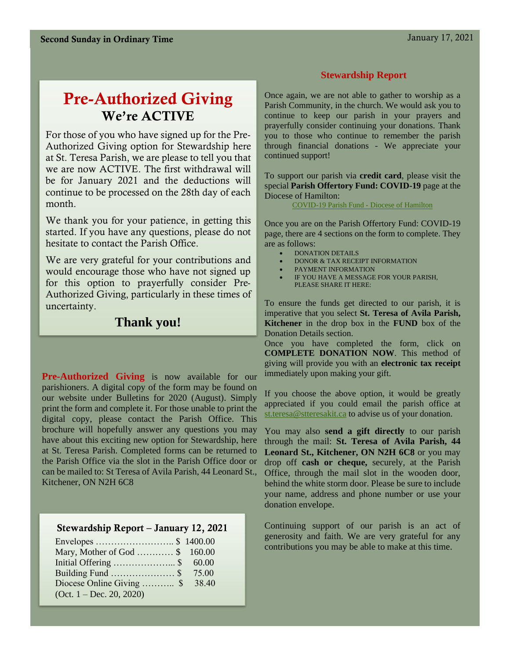# Pre-Authorized Giving We're ACTIVE

For those of you who have signed up for the Pre-Authorized Giving option for Stewardship here at St. Teresa Parish, we are please to tell you that we are now ACTIVE. The first withdrawal will be for January 2021 and the deductions will continue to be processed on the 28th day of each month.

We thank you for your patience, in getting this started. If you have any questions, please do not hesitate to contact the Parish Office.

We are very grateful for your contributions and would encourage those who have not signed up for this option to prayerfully consider Pre-Authorized Giving, particularly in these times of uncertainty.

## **Thank you!**

**Pre-Authorized Giving** is now available for our parishioners. A digital copy of the form may be found on our website under Bulletins for 2020 (August). Simply print the form and complete it. For those unable to print the digital copy, please contact the Parish Office. This brochure will hopefully answer any questions you may have about this exciting new option for Stewardship, here at St. Teresa Parish. Completed forms can be returned to the Parish Office via the slot in the Parish Office door or can be mailed to: St Teresa of Avila Parish, 44 Leonard St., Kitchener, ON N2H 6C8

#### Stewardship Report – January 12, 2021

| Mary, Mother of God  \$ 160.00  |  |
|---------------------------------|--|
|                                 |  |
| Building Fund \$ 75.00          |  |
| Diocese Online Giving  \$ 38.40 |  |
| $(Oct. 1 - Dec. 20, 2020)$      |  |

#### **Stewardship Report**

Once again, we are not able to gather to worship as a Parish Community, in the church. We would ask you to continue to keep our parish in your prayers and prayerfully consider continuing your donations. Thank you to those who continue to remember the parish through financial donations - We appreciate your continued support!

To support our parish via **credit card**, please visit the special **Parish Offertory Fund: COVID-19** page at the Diocese of Hamilton:

[COVID-19 Parish Fund -](https://hamiltondiocese.com/covid19parishfund/) Diocese of Hamilton

Once you are on the Parish Offertory Fund: COVID-19 page, there are 4 sections on the form to complete. They are as follows:

- DONATION DETAILS
- DONOR & TAX RECEIPT INFORMATION
- PAYMENT INFORMATION
- IF YOU HAVE A MESSAGE FOR YOUR PARISH, PLEASE SHARE IT HERE:

To ensure the funds get directed to our parish, it is imperative that you select **St. Teresa of Avila Parish, Kitchener** in the drop box in the **FUND** box of the Donation Details section.

Once you have completed the form, click on **COMPLETE DONATION NOW**. This method of giving will provide you with an **electronic tax receipt**  immediately upon making your gift.

If you choose the above option, it would be greatly appreciated if you could email the parish office at [st.teresa@stteresakit.ca](mailto:st.teresa@stteresakit.ca) to advise us of your donation.

You may also **send a gift directly** to our parish through the mail: **St. Teresa of Avila Parish, 44 Leonard St., Kitchener, ON N2H 6C8** or you may drop off **cash or cheque,** securely, at the Parish Office, through the mail slot in the wooden door, behind the white storm door. Please be sure to include your name, address and phone number or use your donation envelope.

Continuing support of our parish is an act of generosity and faith. We are very grateful for any contributions you may be able to make at this time.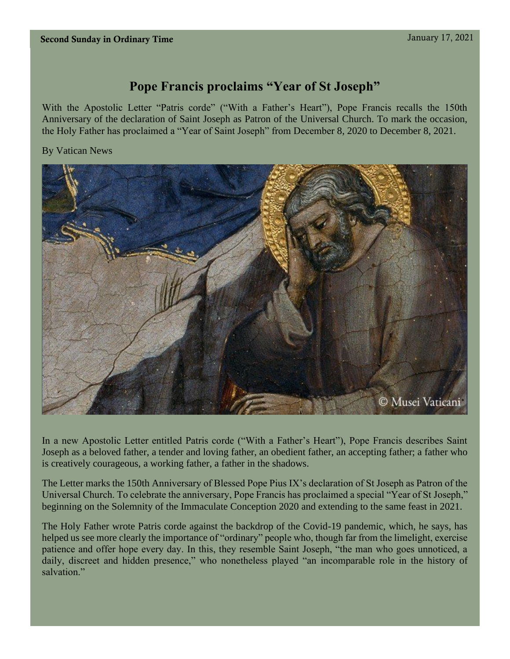# **Pope Francis proclaims "Year of St Joseph"**

With the Apostolic Letter "Patris corde" ("With a Father's Heart"), Pope Francis recalls the 150th Anniversary of the declaration of Saint Joseph as Patron of the Universal Church. To mark the occasion, the Holy Father has proclaimed a "Year of Saint Joseph" from December 8, 2020 to December 8, 2021.

#### By Vatican News



In a new Apostolic Letter entitled Patris corde ("With a Father's Heart"), Pope Francis describes Saint Joseph as a beloved father, a tender and loving father, an obedient father, an accepting father; a father who is creatively courageous, a working father, a father in the shadows.

The Letter marks the 150th Anniversary of Blessed Pope Pius IX's declaration of St Joseph as Patron of the Universal Church. To celebrate the anniversary, Pope Francis has proclaimed a special "Year of St Joseph," beginning on the Solemnity of the Immaculate Conception 2020 and extending to the same feast in 2021.

The Holy Father wrote Patris corde against the backdrop of the Covid-19 pandemic, which, he says, has helped us see more clearly the importance of "ordinary" people who, though far from the limelight, exercise patience and offer hope every day. In this, they resemble Saint Joseph, "the man who goes unnoticed, a daily, discreet and hidden presence," who nonetheless played "an incomparable role in the history of salvation."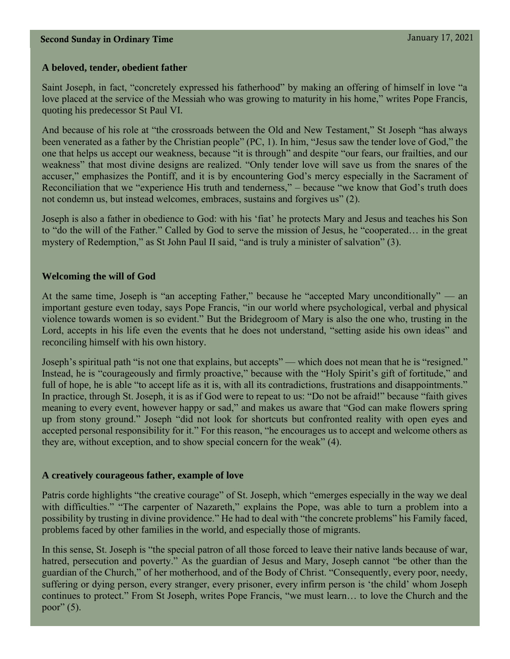#### **A beloved, tender, obedient father**

Saint Joseph, in fact, "concretely expressed his fatherhood" by making an offering of himself in love "a love placed at the service of the Messiah who was growing to maturity in his home," writes Pope Francis, quoting his predecessor St Paul VI.

And because of his role at "the crossroads between the Old and New Testament," St Joseph "has always been venerated as a father by the Christian people" (PC, 1). In him, "Jesus saw the tender love of God," the one that helps us accept our weakness, because "it is through" and despite "our fears, our frailties, and our weakness" that most divine designs are realized. "Only tender love will save us from the snares of the accuser," emphasizes the Pontiff, and it is by encountering God's mercy especially in the Sacrament of Reconciliation that we "experience His truth and tenderness," – because "we know that God's truth does not condemn us, but instead welcomes, embraces, sustains and forgives us" (2).

Joseph is also a father in obedience to God: with his 'fiat' he protects Mary and Jesus and teaches his Son to "do the will of the Father." Called by God to serve the mission of Jesus, he "cooperated… in the great mystery of Redemption," as St John Paul II said, "and is truly a minister of salvation" (3).

#### **Welcoming the will of God**

At the same time, Joseph is "an accepting Father," because he "accepted Mary unconditionally" — an important gesture even today, says Pope Francis, "in our world where psychological, verbal and physical violence towards women is so evident." But the Bridegroom of Mary is also the one who, trusting in the Lord, accepts in his life even the events that he does not understand, "setting aside his own ideas" and reconciling himself with his own history.

Joseph's spiritual path "is not one that explains, but accepts" — which does not mean that he is "resigned." Instead, he is "courageously and firmly proactive," because with the "Holy Spirit's gift of fortitude," and full of hope, he is able "to accept life as it is, with all its contradictions, frustrations and disappointments." In practice, through St. Joseph, it is as if God were to repeat to us: "Do not be afraid!" because "faith gives meaning to every event, however happy or sad," and makes us aware that "God can make flowers spring up from stony ground." Joseph "did not look for shortcuts but confronted reality with open eyes and accepted personal responsibility for it." For this reason, "he encourages us to accept and welcome others as they are, without exception, and to show special concern for the weak" (4).

#### **A creatively courageous father, example of love**

Patris corde highlights "the creative courage" of St. Joseph, which "emerges especially in the way we deal with difficulties." "The carpenter of Nazareth," explains the Pope, was able to turn a problem into a possibility by trusting in divine providence." He had to deal with "the concrete problems" his Family faced, problems faced by other families in the world, and especially those of migrants.

In this sense, St. Joseph is "the special patron of all those forced to leave their native lands because of war, hatred, persecution and poverty." As the guardian of Jesus and Mary, Joseph cannot "be other than the guardian of the Church," of her motherhood, and of the Body of Christ. "Consequently, every poor, needy, suffering or dying person, every stranger, every prisoner, every infirm person is 'the child' whom Joseph continues to protect." From St Joseph, writes Pope Francis, "we must learn… to love the Church and the poor" $(5)$ .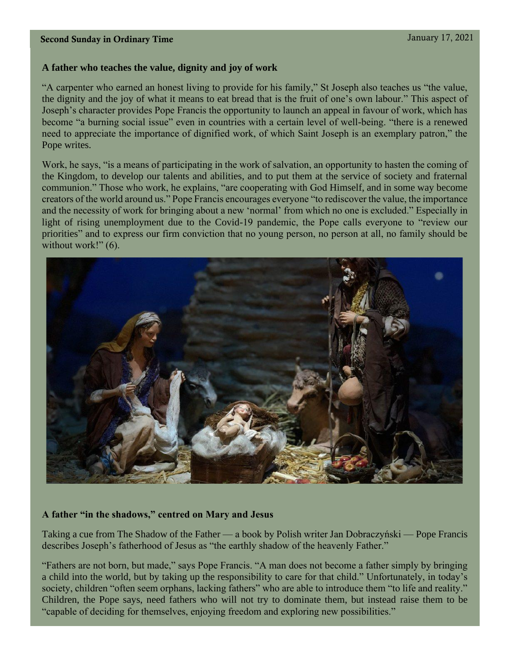#### **A father who teaches the value, dignity and joy of work**

"A carpenter who earned an honest living to provide for his family," St Joseph also teaches us "the value, the dignity and the joy of what it means to eat bread that is the fruit of one's own labour." This aspect of Joseph's character provides Pope Francis the opportunity to launch an appeal in favour of work, which has become "a burning social issue" even in countries with a certain level of well-being. "there is a renewed need to appreciate the importance of dignified work, of which Saint Joseph is an exemplary patron," the Pope writes.

Work, he says, "is a means of participating in the work of salvation, an opportunity to hasten the coming of the Kingdom, to develop our talents and abilities, and to put them at the service of society and fraternal communion." Those who work, he explains, "are cooperating with God Himself, and in some way become creators of the world around us." Pope Francis encourages everyone "to rediscover the value, the importance and the necessity of work for bringing about a new 'normal' from which no one is excluded." Especially in light of rising unemployment due to the Covid-19 pandemic, the Pope calls everyone to "review our priorities" and to express our firm conviction that no young person, no person at all, no family should be without work!" (6).



#### **A father "in the shadows," centred on Mary and Jesus**

Taking a cue from The Shadow of the Father — a book by Polish writer Jan Dobraczyński — Pope Francis describes Joseph's fatherhood of Jesus as "the earthly shadow of the heavenly Father."

"Fathers are not born, but made," says Pope Francis. "A man does not become a father simply by bringing a child into the world, but by taking up the responsibility to care for that child." Unfortunately, in today's society, children "often seem orphans, lacking fathers" who are able to introduce them "to life and reality." Children, the Pope says, need fathers who will not try to dominate them, but instead raise them to be "capable of deciding for themselves, enjoying freedom and exploring new possibilities."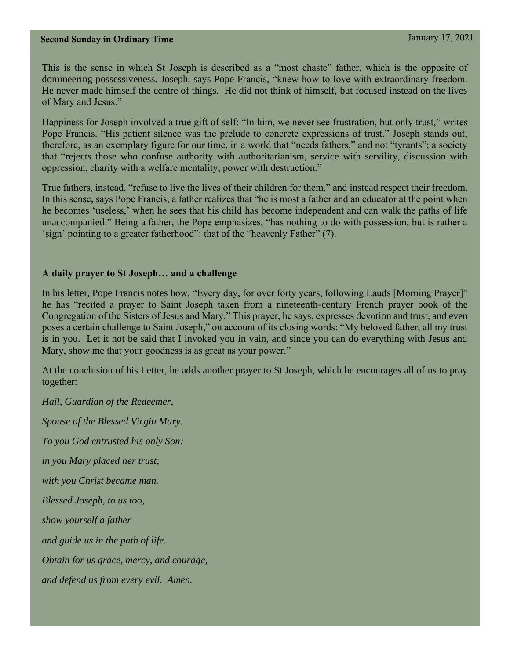This is the sense in which St Joseph is described as a "most chaste" father, which is the opposite of domineering possessiveness. Joseph, says Pope Francis, "knew how to love with extraordinary freedom. He never made himself the centre of things. He did not think of himself, but focused instead on the lives of Mary and Jesus."

Happiness for Joseph involved a true gift of self: "In him, we never see frustration, but only trust," writes Pope Francis. "His patient silence was the prelude to concrete expressions of trust." Joseph stands out, therefore, as an exemplary figure for our time, in a world that "needs fathers," and not "tyrants"; a society that "rejects those who confuse authority with authoritarianism, service with servility, discussion with oppression, charity with a welfare mentality, power with destruction."

True fathers, instead, "refuse to live the lives of their children for them," and instead respect their freedom. In this sense, says Pope Francis, a father realizes that "he is most a father and an educator at the point when he becomes 'useless,' when he sees that his child has become independent and can walk the paths of life unaccompanied." Being a father, the Pope emphasizes, "has nothing to do with possession, but is rather a 'sign' pointing to a greater fatherhood": that of the "heavenly Father" (7).

#### **A daily prayer to St Joseph… and a challenge**

In his letter, Pope Francis notes how, "Every day, for over forty years, following Lauds [Morning Prayer]" he has "recited a prayer to Saint Joseph taken from a nineteenth-century French prayer book of the Congregation of the Sisters of Jesus and Mary." This prayer, he says, expresses devotion and trust, and even poses a certain challenge to Saint Joseph," on account of its closing words: "My beloved father, all my trust is in you. Let it not be said that I invoked you in vain, and since you can do everything with Jesus and Mary, show me that your goodness is as great as your power."

At the conclusion of his Letter, he adds another prayer to St Joseph, which he encourages all of us to pray together:

*Hail, Guardian of the Redeemer, Spouse of the Blessed Virgin Mary. To you God entrusted his only Son; in you Mary placed her trust; with you Christ became man. Blessed Joseph, to us too, show yourself a father and guide us in the path of life. Obtain for us grace, mercy, and courage, and defend us from every evil. Amen.*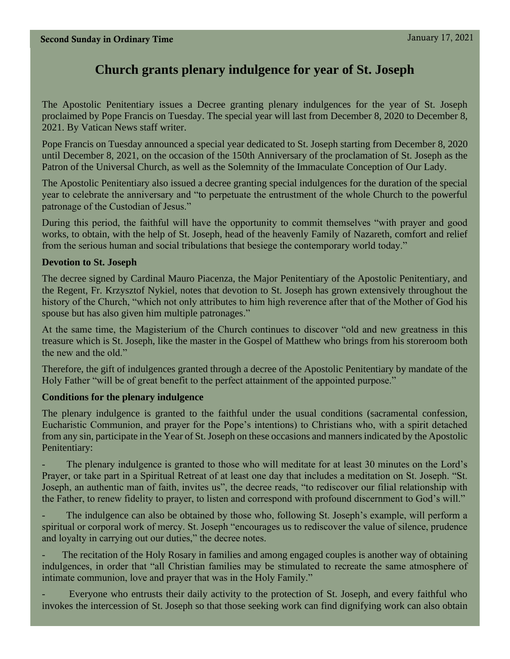# **Church grants plenary indulgence for year of St. Joseph**

The Apostolic Penitentiary issues a Decree granting plenary indulgences for the year of St. Joseph proclaimed by Pope Francis on Tuesday. The special year will last from December 8, 2020 to December 8, 2021. By Vatican News staff writer.

Pope Francis on Tuesday announced a special year dedicated to St. Joseph starting from December 8, 2020 until December 8, 2021, on the occasion of the 150th Anniversary of the proclamation of St. Joseph as the Patron of the Universal Church, as well as the Solemnity of the Immaculate Conception of Our Lady.

The Apostolic Penitentiary also issued a decree granting special indulgences for the duration of the special year to celebrate the anniversary and "to perpetuate the entrustment of the whole Church to the powerful patronage of the Custodian of Jesus."

During this period, the faithful will have the opportunity to commit themselves "with prayer and good works, to obtain, with the help of St. Joseph, head of the heavenly Family of Nazareth, comfort and relief from the serious human and social tribulations that besiege the contemporary world today."

#### **Devotion to St. Joseph**

The decree signed by Cardinal Mauro Piacenza, the Major Penitentiary of the Apostolic Penitentiary, and the Regent, Fr. Krzysztof Nykiel, notes that devotion to St. Joseph has grown extensively throughout the history of the Church, "which not only attributes to him high reverence after that of the Mother of God his spouse but has also given him multiple patronages."

At the same time, the Magisterium of the Church continues to discover "old and new greatness in this treasure which is St. Joseph, like the master in the Gospel of Matthew who brings from his storeroom both the new and the old."

Therefore, the gift of indulgences granted through a decree of the Apostolic Penitentiary by mandate of the Holy Father "will be of great benefit to the perfect attainment of the appointed purpose."

#### **Conditions for the plenary indulgence**

The plenary indulgence is granted to the faithful under the usual conditions (sacramental confession, Eucharistic Communion, and prayer for the Pope's intentions) to Christians who, with a spirit detached from any sin, participate in the Year of St. Joseph on these occasions and manners indicated by the Apostolic Penitentiary:

The plenary indulgence is granted to those who will meditate for at least 30 minutes on the Lord's Prayer, or take part in a Spiritual Retreat of at least one day that includes a meditation on St. Joseph. "St. Joseph, an authentic man of faith, invites us", the decree reads, "to rediscover our filial relationship with the Father, to renew fidelity to prayer, to listen and correspond with profound discernment to God's will."

The indulgence can also be obtained by those who, following St. Joseph's example, will perform a spiritual or corporal work of mercy. St. Joseph "encourages us to rediscover the value of silence, prudence and loyalty in carrying out our duties," the decree notes.

The recitation of the Holy Rosary in families and among engaged couples is another way of obtaining indulgences, in order that "all Christian families may be stimulated to recreate the same atmosphere of intimate communion, love and prayer that was in the Holy Family."

Everyone who entrusts their daily activity to the protection of St. Joseph, and every faithful who invokes the intercession of St. Joseph so that those seeking work can find dignifying work can also obtain